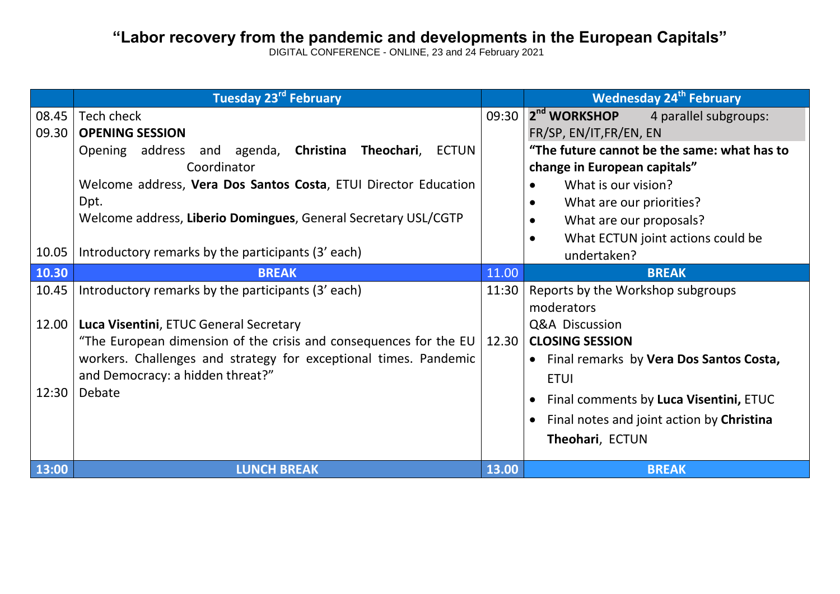## **"Labor recovery from the pandemic and developments in the European Capitals"**

DIGITAL CONFERENCE - ONLINE, 23 and 24 February 2021 **the d**

|                         | <b>Tuesday 23rd February</b>                                                                                                                                                                                                                                                        |                | <b>Wednesday 24<sup>th</sup> February</b>                                                                                                                                                                                                                         |
|-------------------------|-------------------------------------------------------------------------------------------------------------------------------------------------------------------------------------------------------------------------------------------------------------------------------------|----------------|-------------------------------------------------------------------------------------------------------------------------------------------------------------------------------------------------------------------------------------------------------------------|
| 08.45<br>09.30          | Tech check<br><b>OPENING SESSION</b><br>Opening address and agenda, Christina Theochari,<br>ECTUN<br>Coordinator<br>Welcome address, Vera Dos Santos Costa, ETUI Director Education<br>Dpt.<br>Welcome address, Liberio Domingues, General Secretary USL/CGTP                       | 09:30          | 2 <sup>nd</sup> WORKSHOP<br>4 parallel subgroups:<br>FR/SP, EN/IT, FR/EN, EN<br>"The future cannot be the same: what has to<br>change in European capitals"<br>What is our vision?<br>What are our priorities?<br>What are our proposals?                         |
| 10.05                   | Introductory remarks by the participants (3' each)                                                                                                                                                                                                                                  |                | What ECTUN joint actions could be<br>undertaken?                                                                                                                                                                                                                  |
| 10.30                   | <b>BREAK</b>                                                                                                                                                                                                                                                                        | 11.00          | <b>BREAK</b>                                                                                                                                                                                                                                                      |
| 10.45<br>12.00<br>12:30 | Introductory remarks by the participants (3' each)<br>Luca Visentini, ETUC General Secretary<br>"The European dimension of the crisis and consequences for the EU<br>workers. Challenges and strategy for exceptional times. Pandemic<br>and Democracy: a hidden threat?"<br>Debate | 11:30<br>12.30 | Reports by the Workshop subgroups<br>moderators<br>Q&A Discussion<br><b>CLOSING SESSION</b><br>• Final remarks by Vera Dos Santos Costa,<br><b>ETUI</b><br>Final comments by Luca Visentini, ETUC<br>Final notes and joint action by Christina<br>Theohari, ECTUN |
| 13:00                   | <b>LUNCH BREAK</b>                                                                                                                                                                                                                                                                  | 13.00          | <b>BREAK</b>                                                                                                                                                                                                                                                      |